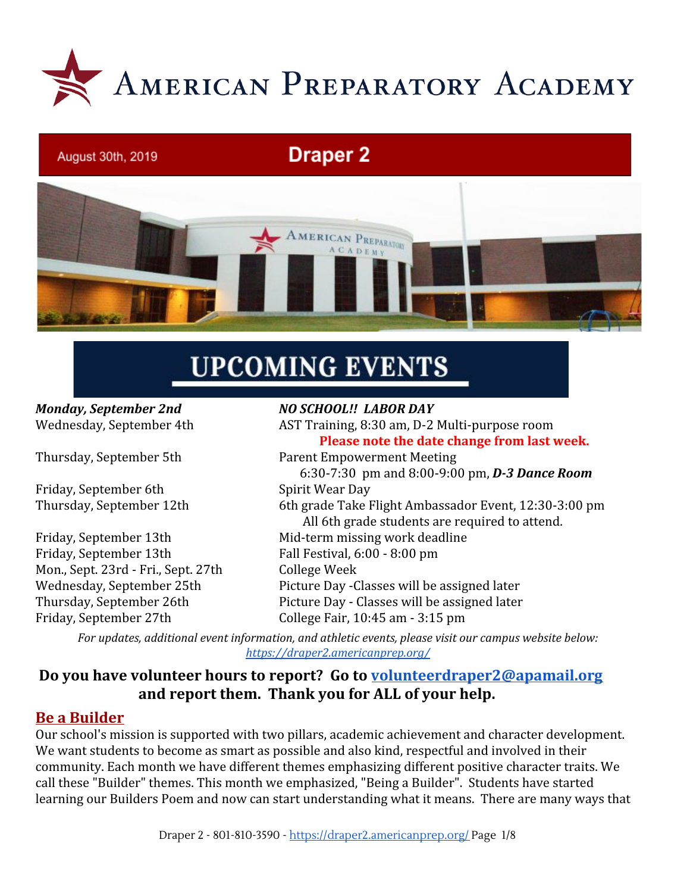

# **Draper 2**



# **UPCOMING EVENTS**

# *Monday, September 2nd NO SCHOOL!! LABOR DAY*

August 30th, 2019

Friday, September 6th Spirit Wear Day

Friday, September 13th Fall Festival, 6:00 - 8:00 pm Mon., Sept. 23rd - Fri., Sept. 27th College Week

Wednesday, September 4th AST Training, 8:30 am, D-2 Multi-purpose room **Please note the date change from last week.** Thursday, September 5th Parent Empowerment Meeting 6:30-7:30 pm and 8:00-9:00 pm, *D-3 Dance Room* Thursday, September 12th 6th grade Take Flight Ambassador Event, 12:30-3:00 pm All 6th grade students are required to attend. Friday, September 13th Mid-term missing work deadline Wednesday, September 25th Picture Day -Classes will be assigned later Thursday, September 26th Picture Day - Classes will be assigned later Friday, September 27th College Fair, 10:45 am - 3:15 pm

*For updates, additional event information, and athletic events, please visit our campus website below: <https://draper2.americanprep.org/>*

#### **Do you have volunteer hours to report? Go to [volunteerdraper2@apamail.org](mailto:volunteerdraper2@apamail.org) and report them. Thank you for ALL of your help.**

#### **Be a Builder**

Our school's mission is supported with two pillars, academic achievement and character development. We want students to become as smart as possible and also kind, respectful and involved in their community. Each month we have different themes emphasizing different positive character traits. We call these "Builder" themes. This month we emphasized, "Being a Builder". Students have started learning our Builders Poem and now can start understanding what it means. There are many ways that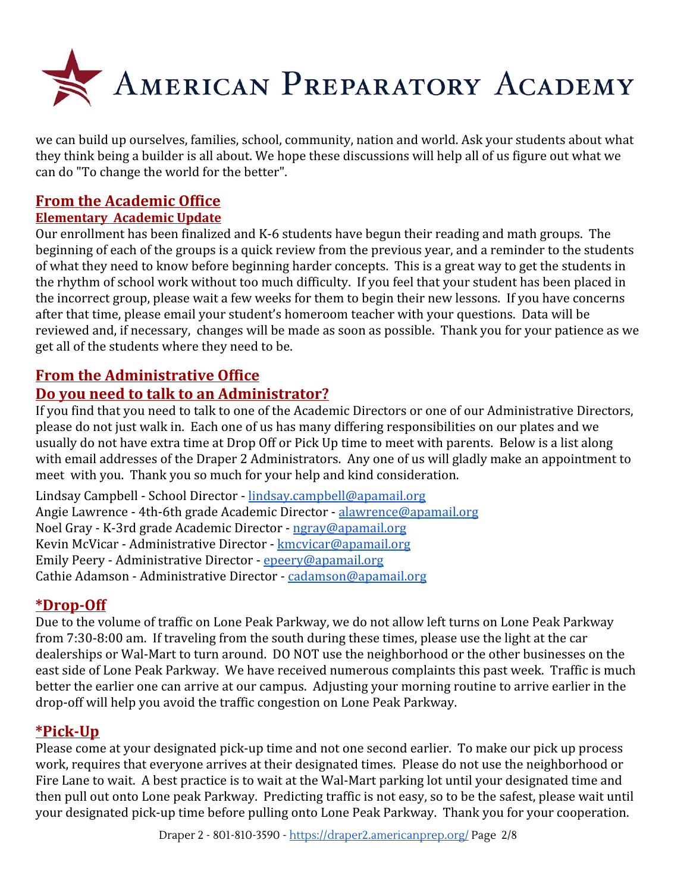

we can build up ourselves, families, school, community, nation and world. Ask your students about what they think being a builder is all about. We hope these discussions will help all of us figure out what we can do "To change the world for the better".

#### **From the Academic Office**

#### **Elementary Academic Update**

Our enrollment has been finalized and K-6 students have begun their reading and math groups. The beginning of each of the groups is a quick review from the previous year, and a reminder to the students of what they need to know before beginning harder concepts. This is a great way to get the students in the rhythm of school work without too much difficulty. If you feel that your student has been placed in the incorrect group, please wait a few weeks for them to begin their new lessons. If you have concerns after that time, please email your student's homeroom teacher with your questions. Data will be reviewed and, if necessary, changes will be made as soon as possible. Thank you for your patience as we get all of the students where they need to be.

#### **From the Administrative Office**

#### **Do you need to talk to an Administrator?**

If you find that you need to talk to one of the Academic Directors or one of our Administrative Directors, please do not just walk in. Each one of us has many differing responsibilities on our plates and we usually do not have extra time at Drop Off or Pick Up time to meet with parents. Below is a list along with email addresses of the Draper 2 Administrators. Any one of us will gladly make an appointment to meet with you. Thank you so much for your help and kind consideration.

Lindsay Campbell - School Director - [lindsay.campbell@apamail.org](mailto:lindsay.campbell@apamail.org) Angie Lawrence - 4th-6th grade Academic Director - [alawrence@apamail.org](mailto:alawrence@apamail.org) Noel Gray - K-3rd grade Academic Director - [ngray@apamail.org](mailto:ngray@apamail.org) Kevin McVicar - Administrative Director - [kmcvicar@apamail.org](mailto:kmcvicar@apamail.org) Emily Peery - Administrative Director - [epeery@apamail.org](mailto:epeery@apamail.org) Cathie Adamson - Administrative Director - [cadamson@apamail.org](mailto:cadamson@apamail.org)

#### **\*Drop-Off**

Due to the volume of traffic on Lone Peak Parkway, we do not allow left turns on Lone Peak Parkway from 7:30-8:00 am. If traveling from the south during these times, please use the light at the car dealerships or Wal-Mart to turn around. DO NOT use the neighborhood or the other businesses on the east side of Lone Peak Parkway. We have received numerous complaints this past week. Traffic is much better the earlier one can arrive at our campus. Adjusting your morning routine to arrive earlier in the drop-off will help you avoid the traffic congestion on Lone Peak Parkway.

#### **\*Pick-Up**

Please come at your designated pick-up time and not one second earlier. To make our pick up process work, requires that everyone arrives at their designated times. Please do not use the neighborhood or Fire Lane to wait. A best practice is to wait at the Wal-Mart parking lot until your designated time and then pull out onto Lone peak Parkway. Predicting traffic is not easy, so to be the safest, please wait until your designated pick-up time before pulling onto Lone Peak Parkway. Thank you for your cooperation.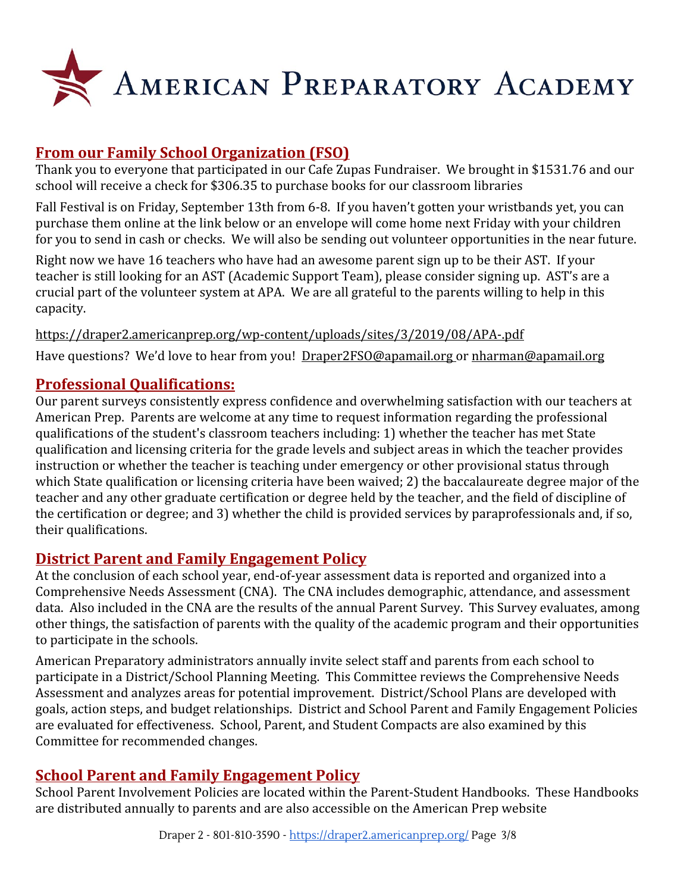

# **From our Family School Organization (FSO)**

Thank you to everyone that participated in our Cafe Zupas Fundraiser. We brought in \$1531.76 and our school will receive a check for \$306.35 to purchase books for our classroom libraries

Fall Festival is on Friday, September 13th from 6-8. If you haven't gotten your wristbands yet, you can purchase them online at the link below or an envelope will come home next Friday with your children for you to send in cash or checks. We will also be sending out volunteer opportunities in the near future.

Right now we have 16 teachers who have had an awesome parent sign up to be their AST. If your teacher is still looking for an AST (Academic Support Team), please consider signing up. AST's are a crucial part of the volunteer system at APA. We are all grateful to the parents willing to help in this capacity.

<https://draper2.americanprep.org/wp-content/uploads/sites/3/2019/08/APA-.pdf> Have questions? We'd love to hear from you! [Draper2FSO@apamail.org o](mailto:Draper2FSO@apamail.org)r [nharman@apamail.org](mailto:nharman@apamail.org)

#### **Professional Qualifications:**

Our parent surveys consistently express confidence and overwhelming satisfaction with our teachers at American Prep. Parents are welcome at any time to request information regarding the professional qualifications of the student's classroom teachers including: 1) whether the teacher has met State qualification and licensing criteria for the grade levels and subject areas in which the teacher provides instruction or whether the teacher is teaching under emergency or other provisional status through which State qualification or licensing criteria have been waived; 2) the baccalaureate degree major of the teacher and any other graduate certification or degree held by the teacher, and the field of discipline of the certification or degree; and 3) whether the child is provided services by paraprofessionals and, if so, their qualifications.

# **District Parent and Family Engagement Policy**

At the conclusion of each school year, end-of-year assessment data is reported and organized into a Comprehensive Needs Assessment (CNA). The CNA includes demographic, attendance, and assessment data. Also included in the CNA are the results of the annual Parent Survey. This Survey evaluates, among other things, the satisfaction of parents with the quality of the academic program and their opportunities to participate in the schools.

American Preparatory administrators annually invite select staff and parents from each school to participate in a District/School Planning Meeting. This Committee reviews the Comprehensive Needs Assessment and analyzes areas for potential improvement. District/School Plans are developed with goals, action steps, and budget relationships. District and School Parent and Family Engagement Policies are evaluated for effectiveness. School, Parent, and Student Compacts are also examined by this Committee for recommended changes.

# **School Parent and Family Engagement Policy**

School Parent Involvement Policies are located within the Parent-Student Handbooks. These Handbooks are distributed annually to parents and are also accessible on the American Prep website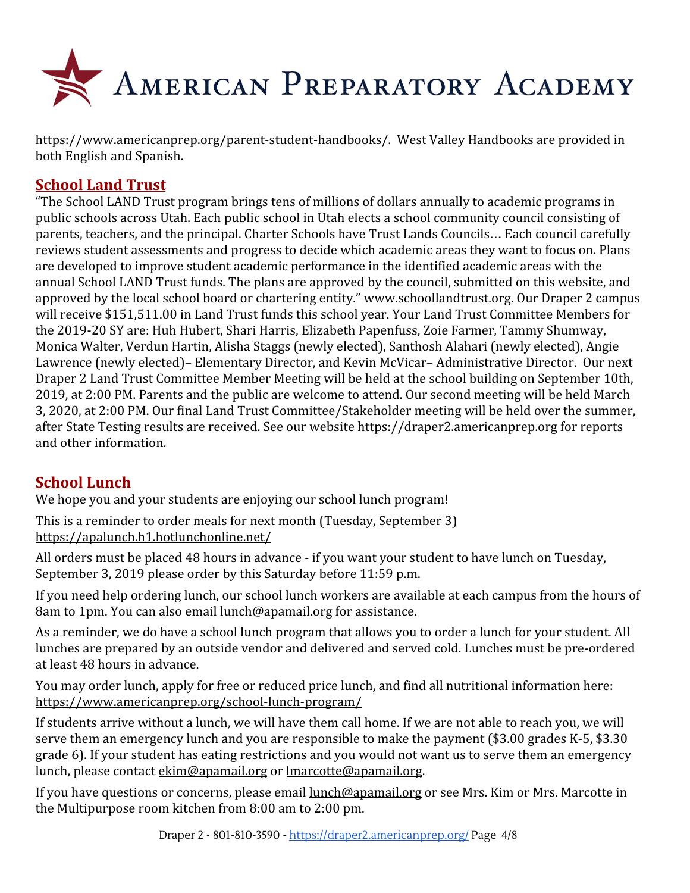

<https://www.americanprep.org/parent-student-handbooks/>. West Valley Handbooks are provided in both English and Spanish.

#### **School Land Trust**

"The School LAND Trust program brings tens of millions of dollars annually to academic programs in public schools across Utah. Each public school in Utah elects a school community council consisting of parents, teachers, and the principal. Charter Schools have Trust Lands Councils… Each council carefully reviews student assessments and progress to decide which academic areas they want to focus on. Plans are developed to improve student academic performance in the identified academic areas with the annual School LAND Trust funds. The plans are approved by the council, submitted on this website, and approved by the local school board or chartering entity." www.schoollandtrust.org. Our Draper 2 campus will receive \$151,511.00 in Land Trust funds this school year. Your Land Trust Committee Members for the 2019-20 SY are: Huh Hubert, Shari Harris, Elizabeth Papenfuss, Zoie Farmer, Tammy Shumway, Monica Walter, Verdun Hartin, Alisha Staggs (newly elected), Santhosh Alahari (newly elected), Angie Lawrence (newly elected)– Elementary Director, and Kevin McVicar– Administrative Director. Our next Draper 2 Land Trust Committee Member Meeting will be held at the school building on September 10th, 2019, at 2:00 PM. Parents and the public are welcome to attend. Our second meeting will be held March 3, 2020, at 2:00 PM. Our final Land Trust Committee/Stakeholder meeting will be held over the summer, after State Testing results are received. See our website https://draper2.americanprep.org for reports and other information.

# **School Lunch**

We hope you and your students are enjoying our school lunch program!

This is a reminder to order meals for next month (Tuesday, September 3) <https://apalunch.h1.hotlunchonline.net/>

All orders must be placed 48 hours in advance - if you want your student to have lunch on Tuesday, September 3, 2019 please order by this Saturday before 11:59 p.m.

If you need help ordering lunch, our school lunch workers are available at each campus from the hours of 8am to 1pm. You can also email [lunch@apamail.org](mailto:lunch@apamail.org) for assistance.

As a reminder, we do have a school lunch program that allows you to order a lunch for your student. All lunches are prepared by an outside vendor and delivered and served cold. Lunches must be pre-ordered at least 48 hours in advance.

You may order lunch, apply for free or reduced price lunch, and find all nutritional information here: <https://www.americanprep.org/school-lunch-program/>

If students arrive without a lunch, we will have them call home. If we are not able to reach you, we will serve them an emergency lunch and you are responsible to make the payment (\$3.00 grades K-5, \$3.30 grade 6). If your student has eating restrictions and you would not want us to serve them an emergency lunch, please contact [ekim@apamail.org](mailto:ekim@apamail.org) or [lmarcotte@apamail.org.](mailto:lmarcotte@apamail.org)

If you have questions or concerns, please email [lunch@apamail.org](mailto:lunch@apamail.org) or see Mrs. Kim or Mrs. Marcotte in the Multipurpose room kitchen from 8:00 am to 2:00 pm.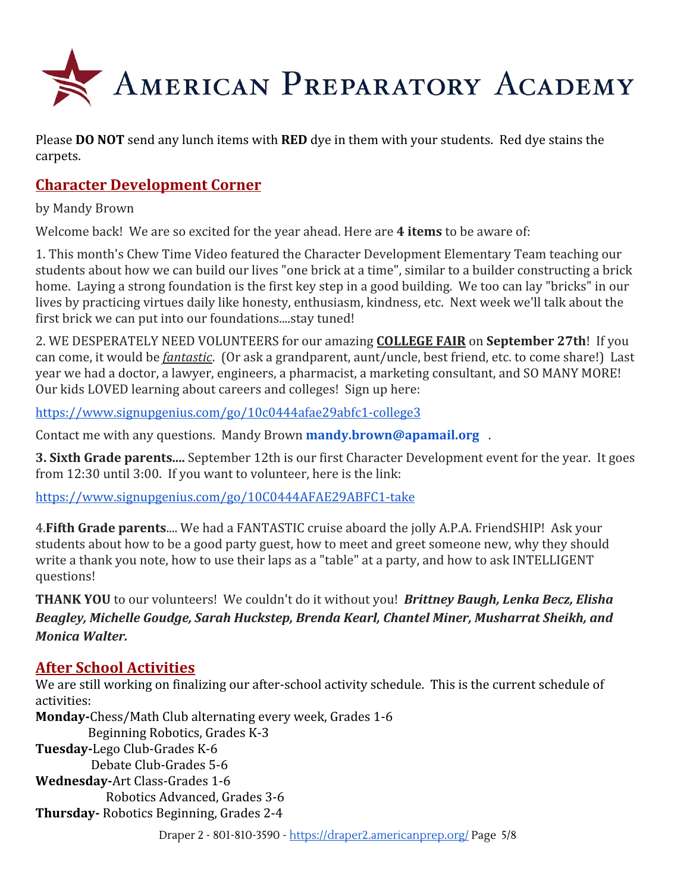

Please **DO NOT** send any lunch items with **RED** dye in them with your students. Red dye stains the carpets.

# **Character Development Corner**

by Mandy Brown

Welcome back! We are so excited for the year ahead. Here are **4 items** to be aware of:

1. This month's Chew Time Video featured the Character Development Elementary Team teaching our students about how we can build our lives "one brick at a time", similar to a builder constructing a brick home. Laying a strong foundation is the first key step in a good building. We too can lay "bricks" in our lives by practicing virtues daily like honesty, enthusiasm, kindness, etc. Next week we'll talk about the first brick we can put into our foundations....stay tuned!

2. WE DESPERATELY NEED VOLUNTEERS for our amazing **COLLEGE FAIR** on **September 27th**! If you can come, it would be *fantastic*. (Or ask a grandparent, aunt/uncle, best friend, etc. to come share!) Last year we had a doctor, a lawyer, engineers, a pharmacist, a marketing consultant, and SO MANY MORE! Our kids LOVED learning about careers and colleges! Sign up here:

<https://www.signupgenius.com/go/10c0444afae29abfc1-college3>

Contact me with any questions. Mandy Brown **mandy.brown@apamail.org** .

**3. Sixth Grade parents....** September 12th is our first Character Development event for the year. It goes from 12:30 until 3:00. If you want to volunteer, here is the link:

<https://www.signupgenius.com/go/10C0444AFAE29ABFC1-take>

4.**Fifth Grade parents**.... We had a FANTASTIC cruise aboard the jolly A.P.A. FriendSHIP! Ask your students about how to be a good party guest, how to meet and greet someone new, why they should write a thank you note, how to use their laps as a "table" at a party, and how to ask INTELLIGENT questions!

**THANK YOU** to our volunteers! We couldn't do it without you! *Brittney Baugh, Lenka Becz, Elisha Beagley, Michelle Goudge, Sarah Huckstep, Brenda Kearl, Chantel Miner, Musharrat Sheikh, and Monica Walter.*

# **After School Activities**

We are still working on finalizing our after-school activity schedule. This is the current schedule of activities:

**Monday-**Chess/Math Club alternating every week, Grades 1-6 Beginning Robotics, Grades K-3 **Tuesday-**Lego Club-Grades K-6 Debate Club-Grades 5-6 **Wednesday-**Art Class-Grades 1-6 Robotics Advanced, Grades 3-6 **Thursday-** Robotics Beginning, Grades 2-4

Draper 2 - 801-810-3590 - <https://draper2.americanprep.org/> Page 5/8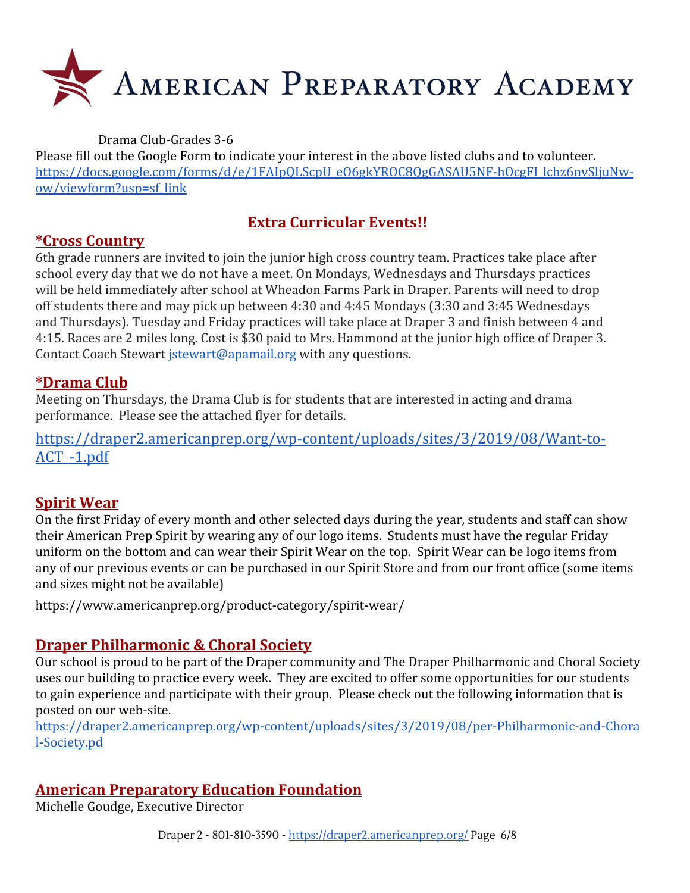

Drama Club-Grades 3-6

Please fill out the Google Form to indicate your interest in the above listed clubs and to volunteer. [https://docs.google.com/forms/d/e/1FAIpQLScpU\\_eO6gkYROC8QgGASAU5NF-hOcgFI\\_lchz6nvSljuNw](https://docs.google.com/forms/d/e/1FAIpQLScpU_eO6gkYROC8QgGASAU5NF-hOcgFI_lchz6nvSljuNw-ow/viewform?usp=sf_link)[ow/viewform?usp=sf\\_link](https://docs.google.com/forms/d/e/1FAIpQLScpU_eO6gkYROC8QgGASAU5NF-hOcgFI_lchz6nvSljuNw-ow/viewform?usp=sf_link)

# **Extra Curricular Events!!**

# **\*Cross Country**

6th grade runners are invited to join the junior high cross country team. Practices take place after school every day that we do not have a meet. On Mondays, Wednesdays and Thursdays practices will be held immediately after school at Wheadon Farms Park in Draper. Parents will need to drop off students there and may pick up between 4:30 and 4:45 Mondays (3:30 and 3:45 Wednesdays and Thursdays). Tuesday and Friday practices will take place at Draper 3 and finish between 4 and 4:15. Races are 2 miles long. Cost is \$30 paid to Mrs. Hammond at the junior high office of Draper 3. Contact Coach Stewart jstewart@apamail.org with any questions.

# **\*Drama Club**

Meeting on Thursdays, the Drama Club is for students that are interested in acting and drama performance. Please see the attached flyer for details.

[https://draper2.americanprep.org/wp-content/uploads/sites/3/2019/08/Want-to-](https://draper2.americanprep.org/wp-content/uploads/sites/3/2019/08/Want-to-ACT_-1.pdf)[ACT\\_-1.pdf](https://draper2.americanprep.org/wp-content/uploads/sites/3/2019/08/Want-to-ACT_-1.pdf)

# **Spirit Wear**

On the first Friday of every month and other selected days during the year, students and staff can show their American Prep Spirit by wearing any of our logo items. Students must have the regular Friday uniform on the bottom and can wear their Spirit Wear on the top. Spirit Wear can be logo items from any of our previous events or can be purchased in our Spirit Store and from our front office (some items and sizes might not be available)

<https://www.americanprep.org/product-category/spirit-wear/>

# **Draper Philharmonic & Choral Society**

Our school is proud to be part of the Draper community and The Draper Philharmonic and Choral Society uses our building to practice every week. They are excited to offer some opportunities for our students to gain experience and participate with their group. Please check out the following information that is posted on our web-site.

[https://draper2.americanprep.org/wp-content/uploads/sites/3/2019/08/per-Philharmonic-and-Chora](https://draper2.americanprep.org/wp-content/uploads/sites/3/2019/08/per-Philharmonic-and-Choral-Society.pdf) [l-Society.pd](https://draper2.americanprep.org/wp-content/uploads/sites/3/2019/08/per-Philharmonic-and-Choral-Society.pdf)

# **American Preparatory Education Foundation**

Michelle Goudge, Executive Director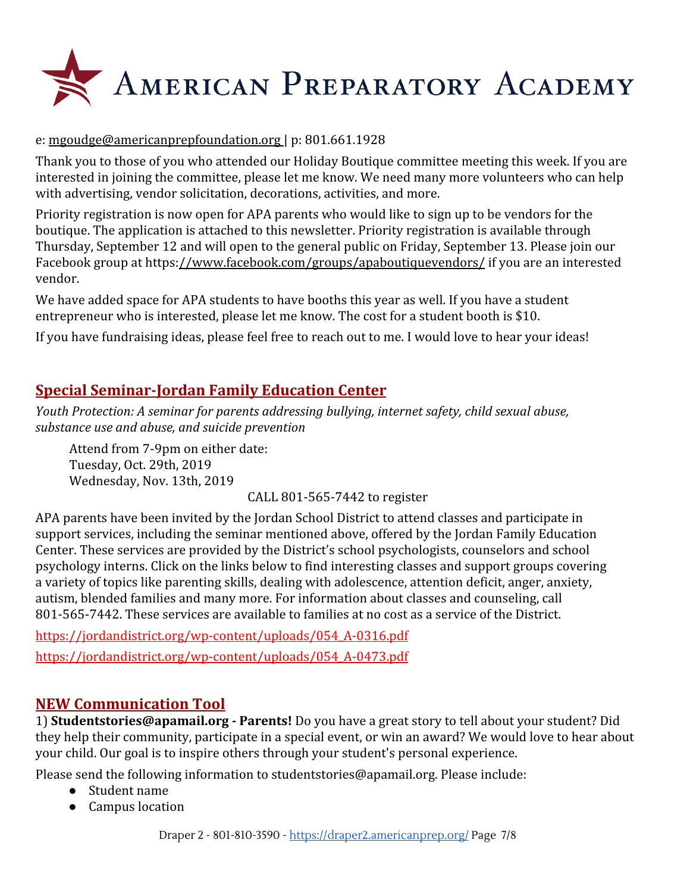

#### e: [mgoudge@americanprepfoundation.org |](mailto:mgoudge@americanprepfoundation.org) p: 801.661.1928

Thank you to those of you who attended our Holiday Boutique committee meeting this week. If you are interested in joining the committee, please let me know. We need many more volunteers who can help with advertising, vendor solicitation, decorations, activities, and more.

Priority registration is now open for APA parents who would like to sign up to be vendors for the boutique. The application is attached to this newsletter. Priority registration is available through Thursday, September 12 and will open to the general public on Friday, September 13. Please join our Facebook group at https:[//www.facebook.com/groups/apaboutiquevendors/](http://www.facebook.com/groups/apaboutiquevendors/) if you are an interested vendor.

We have added space for APA students to have booths this year as well. If you have a student entrepreneur who is interested, please let me know. The cost for a student booth is \$10.

If you have fundraising ideas, please feel free to reach out to me. I would love to hear your ideas!

# **Special Seminar-Jordan Family Education Center**

*Youth Protection: A seminar for parents addressing bullying, internet safety, child sexual abuse, substance use and abuse, and suicide prevention*

Attend from 7-9pm on either date: Tuesday, Oct. 29th, 2019 Wednesday, Nov. 13th, 2019

CALL 801-565-7442 to register

APA parents have been invited by the Jordan School District to attend classes and participate in support services, including the seminar mentioned above, offered by the Jordan Family Education Center. These services are provided by the District's school psychologists, counselors and school psychology interns. Click on the links below to find interesting classes and support groups covering a variety of topics like parenting skills, dealing with adolescence, attention deficit, anger, anxiety, autism, blended families and many more. For information about classes and counseling, call 801-565-7442. These services are available to families at no cost as a service of the District.

[https://jordandistrict.org/wp-content/uploads/054\\_A-0316.pdf](https://jordandistrict.org/wp-content/uploads/054_A-0316.pdf) [https://jordandistrict.org/wp-content/uploads/054\\_A-0473.pdf](https://jordandistrict.org/wp-content/uploads/054_A-0473.pdf)

#### **NEW Communication Tool**

1) **Studentstories@apamail.org - Parents!** Do you have a great story to tell about your student? Did they help their community, participate in a special event, or win an award? We would love to hear about your child. Our goal is to inspire others through your student's personal experience.

Please send the following information to studentstories@apamail.org. Please include:

- Student name
- Campus location